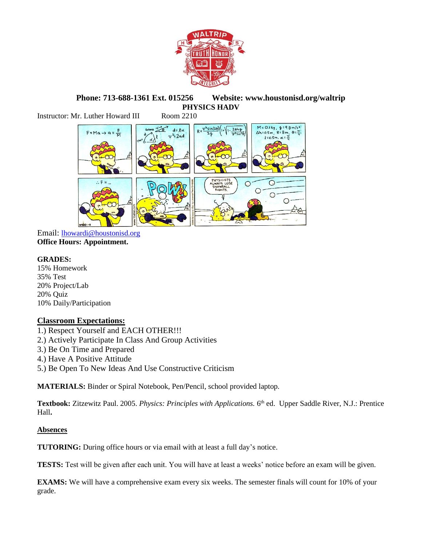

**Phone: 713-688-1361 Ext. 015256 Website: www.houstonisd.org/waltrip PHYSICS HADV**

Instructor: Mr. Luther Howard III Room 2210



Email: [lhowardi@houstonisd.org](mailto:lhowardi@houstonisd.org) **Office Hours: Appointment.**

## **GRADES:**

15% Homework 35% Test 20% Project/Lab 20% Quiz 10% Daily/Participation

## **Classroom Expectations:**

1.) Respect Yourself and EACH OTHER!!!

- 2.) Actively Participate In Class And Group Activities
- 3.) Be On Time and Prepared
- 4.) Have A Positive Attitude
- 5.) Be Open To New Ideas And Use Constructive Criticism

**MATERIALS:** Binder or Spiral Notebook, Pen/Pencil, school provided laptop.

**Textbook:** Zitzewitz Paul. 2005. *Physics: Principles with Applications.* 6 th ed. Upper Saddle River, N.J.: Prentice Hall**.**

## **Absences**

**TUTORING:** During office hours or via email with at least a full day's notice.

**TESTS:** Test will be given after each unit. You will have at least a weeks' notice before an exam will be given.

**EXAMS:** We will have a comprehensive exam every six weeks. The semester finals will count for 10% of your grade.